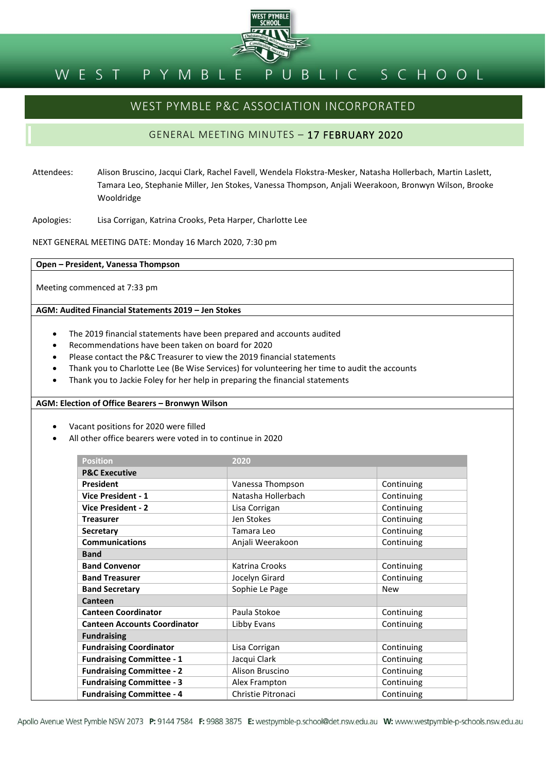

#### BLIC SCHOOL PYMBLE WEST

# WEST PYMBLE P&C ASSOCIATION INCORPORATED

## GENERAL MEETING MINUTES – 17 FEBRUARY 2020

Attendees: Alison Bruscino, Jacqui Clark, Rachel Favell, Wendela Flokstra-Mesker, Natasha Hollerbach, Martin Laslett, Tamara Leo, Stephanie Miller, Jen Stokes, Vanessa Thompson, Anjali Weerakoon, Bronwyn Wilson, Brooke Wooldridge

Apologies: Lisa Corrigan, Katrina Crooks, Peta Harper, Charlotte Lee

NEXT GENERAL MEETING DATE: Monday 16 March 2020, 7:30 pm

**Open – President, Vanessa Thompson**

Meeting commenced at 7:33 pm

**AGM: Audited Financial Statements 2019 – Jen Stokes**

- The 2019 financial statements have been prepared and accounts audited
- Recommendations have been taken on board for 2020
- Please contact the P&C Treasurer to view the 2019 financial statements
- Thank you to Charlotte Lee (Be Wise Services) for volunteering her time to audit the accounts
- Thank you to Jackie Foley for her help in preparing the financial statements

**AGM: Election of Office Bearers – Bronwyn Wilson**

- Vacant positions for 2020 were filled
- All other office bearers were voted in to continue in 2020

| <b>Position</b>                     | 2020               |            |
|-------------------------------------|--------------------|------------|
| <b>P&amp;C Executive</b>            |                    |            |
| <b>President</b>                    | Vanessa Thompson   | Continuing |
| <b>Vice President - 1</b>           | Natasha Hollerbach | Continuing |
| <b>Vice President - 2</b>           | Lisa Corrigan      | Continuing |
| <b>Treasurer</b>                    | Jen Stokes         | Continuing |
| <b>Secretary</b>                    | Tamara Leo         | Continuing |
| <b>Communications</b>               | Anjali Weerakoon   | Continuing |
| <b>Band</b>                         |                    |            |
| <b>Band Convenor</b>                | Katrina Crooks     | Continuing |
| <b>Band Treasurer</b>               | Jocelyn Girard     | Continuing |
| <b>Band Secretary</b>               | Sophie Le Page     | <b>New</b> |
| Canteen                             |                    |            |
| <b>Canteen Coordinator</b>          | Paula Stokoe       | Continuing |
| <b>Canteen Accounts Coordinator</b> | Libby Evans        | Continuing |
| <b>Fundraising</b>                  |                    |            |
| <b>Fundraising Coordinator</b>      | Lisa Corrigan      | Continuing |
| <b>Fundraising Committee - 1</b>    | Jacqui Clark       | Continuing |
| <b>Fundraising Committee - 2</b>    | Alison Bruscino    | Continuing |
| <b>Fundraising Committee - 3</b>    | Alex Frampton      | Continuing |
| <b>Fundraising Committee - 4</b>    | Christie Pitronaci | Continuing |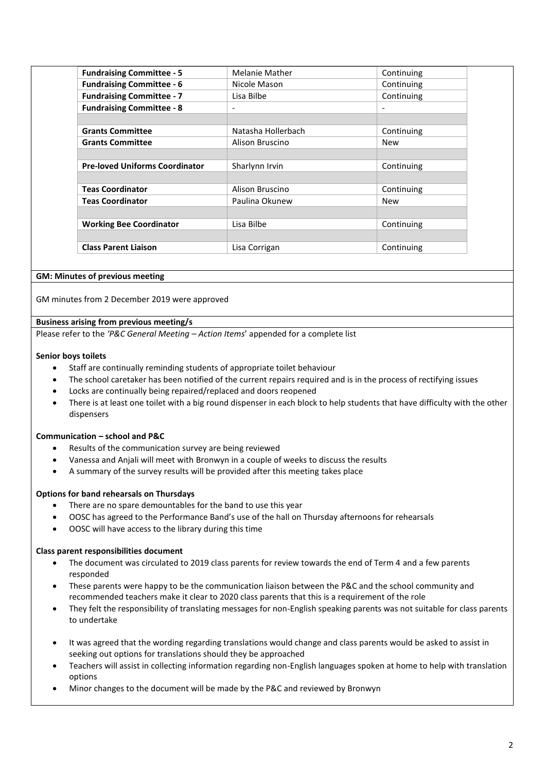| <b>Fundraising Committee - 5</b>      | <b>Melanie Mather</b>    | Continuing               |
|---------------------------------------|--------------------------|--------------------------|
| <b>Fundraising Committee - 6</b>      | Nicole Mason             | Continuing               |
| <b>Fundraising Committee - 7</b>      | Lisa Bilbe               | Continuing               |
| <b>Fundraising Committee - 8</b>      | $\overline{\phantom{0}}$ | $\overline{\phantom{0}}$ |
|                                       |                          |                          |
| <b>Grants Committee</b>               | Natasha Hollerbach       | Continuing               |
| <b>Grants Committee</b>               | Alison Bruscino          | <b>New</b>               |
|                                       |                          |                          |
| <b>Pre-loved Uniforms Coordinator</b> | Sharlynn Irvin           | Continuing               |
|                                       |                          |                          |
| <b>Teas Coordinator</b>               | Alison Bruscino          | Continuing               |
| <b>Teas Coordinator</b>               | Paulina Okunew           | <b>New</b>               |
|                                       |                          |                          |
| <b>Working Bee Coordinator</b>        | Lisa Bilbe               | Continuing               |
|                                       |                          |                          |
| <b>Class Parent Liaison</b>           | Lisa Corrigan            | Continuing               |

#### **GM: Minutes of previous meeting**

GM minutes from 2 December 2019 were approved

#### **Business arising from previous meeting/s**

Please refer to the *'P&C General Meeting – Action Items*' appended for a complete list

#### **Senior boys toilets**

- Staff are continually reminding students of appropriate toilet behaviour
- The school caretaker has been notified of the current repairs required and is in the process of rectifying issues
- Locks are continually being repaired/replaced and doors reopened
- There is at least one toilet with a big round dispenser in each block to help students that have difficulty with the other dispensers

#### **Communication – school and P&C**

- Results of the communication survey are being reviewed
- Vanessa and Anjali will meet with Bronwyn in a couple of weeks to discuss the results
- A summary of the survey results will be provided after this meeting takes place

#### **Options for band rehearsals on Thursdays**

- There are no spare demountables for the band to use this year
- OOSC has agreed to the Performance Band's use of the hall on Thursday afternoons for rehearsals
- OOSC will have access to the library during this time

#### **Class parent responsibilities document**

- The document was circulated to 2019 class parents for review towards the end of Term 4 and a few parents responded
- These parents were happy to be the communication liaison between the P&C and the school community and recommended teachers make it clear to 2020 class parents that this is a requirement of the role
- They felt the responsibility of translating messages for non-English speaking parents was not suitable for class parents to undertake
- It was agreed that the wording regarding translations would change and class parents would be asked to assist in seeking out options for translations should they be approached
- Teachers will assist in collecting information regarding non-English languages spoken at home to help with translation options
- Minor changes to the document will be made by the P&C and reviewed by Bronwyn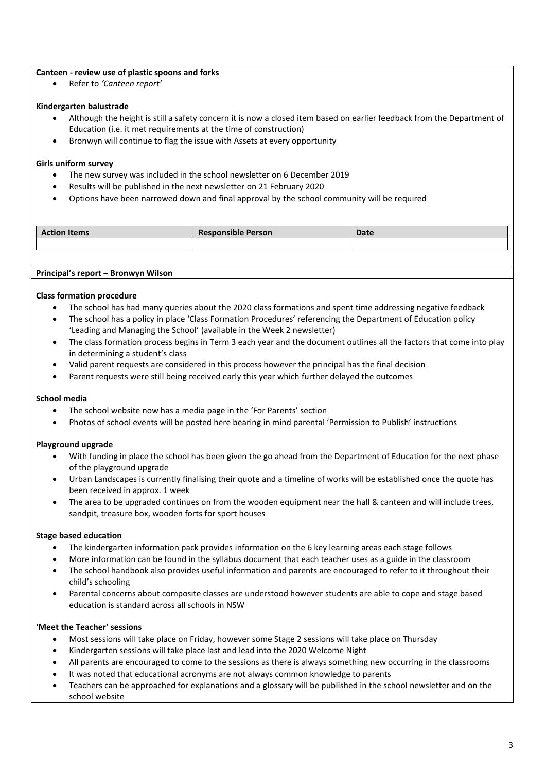#### **Canteen - review use of plastic spoons and forks**

• Refer to *'Canteen report'*

#### **Kindergarten balustrade**

- Although the height is still a safety concern it is now a closed item based on earlier feedback from the Department of Education (i.e. it met requirements at the time of construction)
- Bronwyn will continue to flag the issue with Assets at every opportunity

#### **Girls uniform survey**

- The new survey was included in the school newsletter on 6 December 2019
- Results will be published in the next newsletter on 21 February 2020
- Options have been narrowed down and final approval by the school community will be required

| <b>Action Items</b> | <b>Responsible Person</b> | Date |
|---------------------|---------------------------|------|
|                     |                           |      |

**Principal's report – Bronwyn Wilson**

#### **Class formation procedure**

- The school has had many queries about the 2020 class formations and spent time addressing negative feedback
- The school has a policy in place 'Class Formation Procedures' referencing the Department of Education policy 'Leading and Managing the School' (available in the Week 2 newsletter)
- The class formation process begins in Term 3 each year and the document outlines all the factors that come into play in determining a student's class
- Valid parent requests are considered in this process however the principal has the final decision
- Parent requests were still being received early this year which further delayed the outcomes

#### **School media**

- The school website now has a media page in the 'For Parents' section
- Photos of school events will be posted here bearing in mind parental 'Permission to Publish' instructions

#### **Playground upgrade**

- With funding in place the school has been given the go ahead from the Department of Education for the next phase of the playground upgrade
- Urban Landscapes is currently finalising their quote and a timeline of works will be established once the quote has been received in approx. 1 week
- The area to be upgraded continues on from the wooden equipment near the hall & canteen and will include trees, sandpit, treasure box, wooden forts for sport houses

#### **Stage based education**

- The kindergarten information pack provides information on the 6 key learning areas each stage follows
- More information can be found in the syllabus document that each teacher uses as a guide in the classroom
- The school handbook also provides useful information and parents are encouraged to refer to it throughout their child's schooling
- Parental concerns about composite classes are understood however students are able to cope and stage based education is standard across all schools in NSW

## **'Meet the Teacher' sessions**

- Most sessions will take place on Friday, however some Stage 2 sessions will take place on Thursday
- Kindergarten sessions will take place last and lead into the 2020 Welcome Night
- All parents are encouraged to come to the sessions as there is always something new occurring in the classrooms
- It was noted that educational acronyms are not always common knowledge to parents
- Teachers can be approached for explanations and a glossary will be published in the school newsletter and on the school website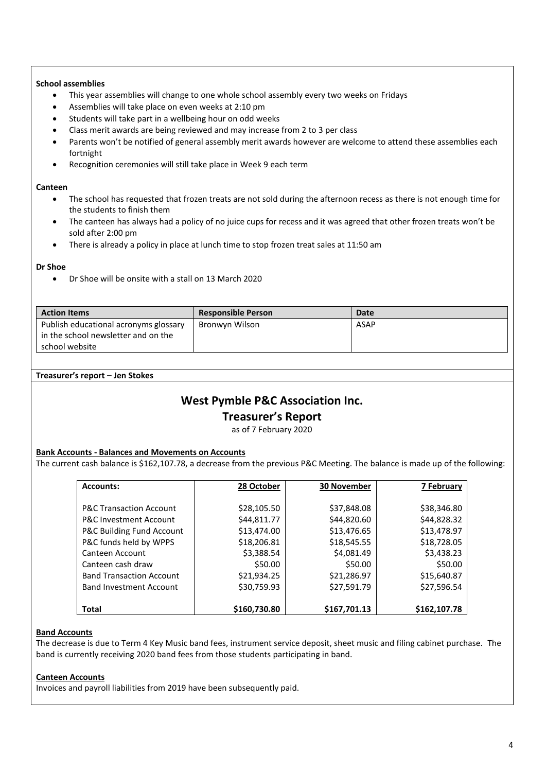#### **School assemblies**

- This year assemblies will change to one whole school assembly every two weeks on Fridays
- Assemblies will take place on even weeks at 2:10 pm
- Students will take part in a wellbeing hour on odd weeks
- Class merit awards are being reviewed and may increase from 2 to 3 per class
- Parents won't be notified of general assembly merit awards however are welcome to attend these assemblies each fortnight
- Recognition ceremonies will still take place in Week 9 each term

#### **Canteen**

- The school has requested that frozen treats are not sold during the afternoon recess as there is not enough time for the students to finish them
- The canteen has always had a policy of no juice cups for recess and it was agreed that other frozen treats won't be sold after 2:00 pm
- There is already a policy in place at lunch time to stop frozen treat sales at 11:50 am

#### **Dr Shoe**

• Dr Shoe will be onsite with a stall on 13 March 2020

| <b>Action Items</b>                   | <b>Responsible Person</b> | <b>Date</b> |
|---------------------------------------|---------------------------|-------------|
| Publish educational acronyms glossary | Bronwyn Wilson            | ASAP        |
| in the school newsletter and on the   |                           |             |
| school website                        |                           |             |

#### **Treasurer's report – Jen Stokes**

## **West Pymble P&C Association Inc.**

## **Treasurer's Report**

as of 7 February 2020

#### **Bank Accounts - Balances and Movements on Accounts**

The current cash balance is \$162,107.78, a decrease from the previous P&C Meeting. The balance is made up of the following:

| <b>Accounts:</b>                   | 28 October   | 30 November  | 7 February   |
|------------------------------------|--------------|--------------|--------------|
|                                    |              |              |              |
| <b>P&amp;C Transaction Account</b> | \$28,105.50  | \$37,848.08  | \$38,346.80  |
| <b>P&amp;C Investment Account</b>  | \$44,811.77  | \$44,820.60  | \$44,828.32  |
| P&C Building Fund Account          | \$13,474.00  | \$13,476.65  | \$13,478.97  |
| P&C funds held by WPPS             | \$18,206.81  | \$18,545.55  | \$18,728.05  |
| Canteen Account                    | \$3,388.54   | \$4,081.49   | \$3,438.23   |
| Canteen cash draw                  | \$50.00      | \$50.00      | \$50.00      |
| <b>Band Transaction Account</b>    | \$21,934.25  | \$21,286.97  | \$15,640.87  |
| <b>Band Investment Account</b>     | \$30,759.93  | \$27,591.79  | \$27,596.54  |
|                                    |              |              |              |
| <b>Total</b>                       | \$160,730.80 | \$167,701.13 | \$162,107.78 |

#### **Band Accounts**

The decrease is due to Term 4 Key Music band fees, instrument service deposit, sheet music and filing cabinet purchase. The band is currently receiving 2020 band fees from those students participating in band.

#### **Canteen Accounts**

Invoices and payroll liabilities from 2019 have been subsequently paid.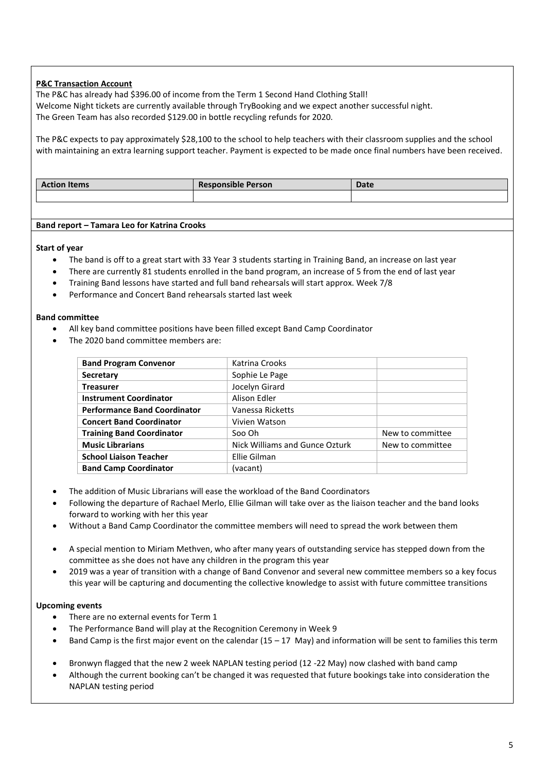## **P&C Transaction Account**

The P&C has already had \$396.00 of income from the Term 1 Second Hand Clothing Stall! Welcome Night tickets are currently available through TryBooking and we expect another successful night. The Green Team has also recorded \$129.00 in bottle recycling refunds for 2020.

The P&C expects to pay approximately \$28,100 to the school to help teachers with their classroom supplies and the school with maintaining an extra learning support teacher. Payment is expected to be made once final numbers have been received.

| .<br><b>Action Items</b> | $\cdots$<br><b>Responsible Person</b> | Date |
|--------------------------|---------------------------------------|------|
|                          |                                       |      |

#### **Band report – Tamara Leo for Katrina Crooks**

**Start of year**

- The band is off to a great start with 33 Year 3 students starting in Training Band, an increase on last year
- There are currently 81 students enrolled in the band program, an increase of 5 from the end of last year
- Training Band lessons have started and full band rehearsals will start approx. Week 7/8
- Performance and Concert Band rehearsals started last week

#### **Band committee**

- All key band committee positions have been filled except Band Camp Coordinator
- The 2020 band committee members are:

| <b>Band Program Convenor</b>        | Katrina Crooks                 |                  |
|-------------------------------------|--------------------------------|------------------|
| Secretary                           | Sophie Le Page                 |                  |
| <b>Treasurer</b>                    | Jocelyn Girard                 |                  |
| <b>Instrument Coordinator</b>       | Alison Edler                   |                  |
| <b>Performance Band Coordinator</b> | Vanessa Ricketts               |                  |
| <b>Concert Band Coordinator</b>     | Vivien Watson                  |                  |
| <b>Training Band Coordinator</b>    | Soo Oh                         | New to committee |
| <b>Music Librarians</b>             | Nick Williams and Gunce Ozturk | New to committee |
| <b>School Liaison Teacher</b>       | Ellie Gilman                   |                  |
| <b>Band Camp Coordinator</b>        | (vacant)                       |                  |

- The addition of Music Librarians will ease the workload of the Band Coordinators
- Following the departure of Rachael Merlo, Ellie Gilman will take over as the liaison teacher and the band looks forward to working with her this year
- Without a Band Camp Coordinator the committee members will need to spread the work between them
- A special mention to Miriam Methven, who after many years of outstanding service has stepped down from the committee as she does not have any children in the program this year
- 2019 was a year of transition with a change of Band Convenor and several new committee members so a key focus this year will be capturing and documenting the collective knowledge to assist with future committee transitions

#### **Upcoming events**

- There are no external events for Term 1
- The Performance Band will play at the Recognition Ceremony in Week 9
- Band Camp is the first major event on the calendar (15 17 May) and information will be sent to families this term
- Bronwyn flagged that the new 2 week NAPLAN testing period (12 -22 May) now clashed with band camp
- Although the current booking can't be changed it was requested that future bookings take into consideration the NAPLAN testing period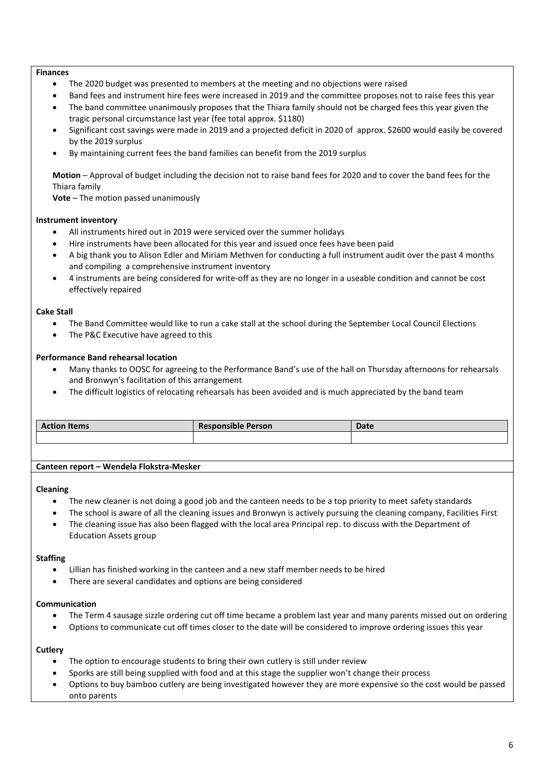#### **Finances**

- The 2020 budget was presented to members at the meeting and no objections were raised
- Band fees and instrument hire fees were increased in 2019 and the committee proposes not to raise fees this year
- The band committee unanimously proposes that the Thiara family should not be charged fees this year given the tragic personal circumstance last year (fee total approx. \$1180)
- Significant cost savings were made in 2019 and a projected deficit in 2020 of approx. \$2600 would easily be covered by the 2019 surplus
- By maintaining current fees the band families can benefit from the 2019 surplus

**Motion** – Approval of budget including the decision not to raise band fees for 2020 and to cover the band fees for the Thiara family

**Vote** – The motion passed unanimously

#### **Instrument inventory**

- All instruments hired out in 2019 were serviced over the summer holidays
- Hire instruments have been allocated for this year and issued once fees have been paid
- A big thank you to Alison Edler and Miriam Methven for conducting a full instrument audit over the past 4 months and compiling a comprehensive instrument inventory
- 4 instruments are being considered for write-off as they are no longer in a useable condition and cannot be cost effectively repaired

#### **Cake Stall**

- The Band Committee would like to run a cake stall at the school during the September Local Council Elections
- The P&C Executive have agreed to this

#### **Performance Band rehearsal location**

- Many thanks to OOSC for agreeing to the Performance Band's use of the hall on Thursday afternoons for rehearsals and Bronwyn's facilitation of this arrangement
- The difficult logistics of relocating rehearsals has been avoided and is much appreciated by the band team

| <b>Action Items</b> | <b>Responsible Person</b> | Date |
|---------------------|---------------------------|------|
|                     |                           |      |

**Canteen report – Wendela Flokstra-Mesker**

#### **Cleaning**

- The new cleaner is not doing a good job and the canteen needs to be a top priority to meet safety standards
- The school is aware of all the cleaning issues and Bronwyn is actively pursuing the cleaning company, Facilities First
- The cleaning issue has also been flagged with the local area Principal rep. to discuss with the Department of Education Assets group

#### **Staffing**

- Lillian has finished working in the canteen and a new staff member needs to be hired
- There are several candidates and options are being considered

#### **Communication**

- The Term 4 sausage sizzle ordering cut off time became a problem last year and many parents missed out on ordering
- Options to communicate cut off times closer to the date will be considered to improve ordering issues this year

#### **Cutlery**

- The option to encourage students to bring their own cutlery is still under review
- Sporks are still being supplied with food and at this stage the supplier won't change their process
- Options to buy bamboo cutlery are being investigated however they are more expensive so the cost would be passed onto parents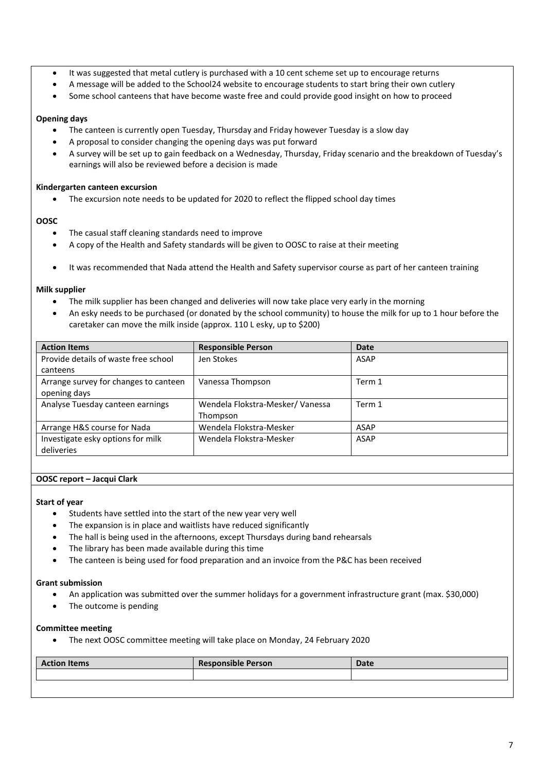- It was suggested that metal cutlery is purchased with a 10 cent scheme set up to encourage returns
- A message will be added to the School24 website to encourage students to start bring their own cutlery
- Some school canteens that have become waste free and could provide good insight on how to proceed

#### **Opening days**

- The canteen is currently open Tuesday, Thursday and Friday however Tuesday is a slow day
- A proposal to consider changing the opening days was put forward
- A survey will be set up to gain feedback on a Wednesday, Thursday, Friday scenario and the breakdown of Tuesday's earnings will also be reviewed before a decision is made

#### **Kindergarten canteen excursion**

The excursion note needs to be updated for 2020 to reflect the flipped school day times

#### **OOSC**

- The casual staff cleaning standards need to improve
- A copy of the Health and Safety standards will be given to OOSC to raise at their meeting
- It was recommended that Nada attend the Health and Safety supervisor course as part of her canteen training

#### **Milk supplier**

- The milk supplier has been changed and deliveries will now take place very early in the morning
- An esky needs to be purchased (or donated by the school community) to house the milk for up to 1 hour before the caretaker can move the milk inside (approx. 110 L esky, up to \$200)

| <b>Action Items</b>                   | <b>Responsible Person</b>       | Date        |
|---------------------------------------|---------------------------------|-------------|
| Provide details of waste free school  | Jen Stokes                      | ASAP        |
| canteens                              |                                 |             |
| Arrange survey for changes to canteen | Vanessa Thompson                | Term 1      |
| opening days                          |                                 |             |
| Analyse Tuesday canteen earnings      | Wendela Flokstra-Mesker/Vanessa | Term 1      |
|                                       | Thompson                        |             |
| Arrange H&S course for Nada           | Wendela Flokstra-Mesker         | <b>ASAP</b> |
| Investigate esky options for milk     | Wendela Flokstra-Mesker         | <b>ASAP</b> |
| deliveries                            |                                 |             |

#### **OOSC report – Jacqui Clark**

#### **Start of year**

- Students have settled into the start of the new year very well
- The expansion is in place and waitlists have reduced significantly
- The hall is being used in the afternoons, except Thursdays during band rehearsals
- The library has been made available during this time
- The canteen is being used for food preparation and an invoice from the P&C has been received

#### **Grant submission**

- An application was submitted over the summer holidays for a government infrastructure grant (max. \$30,000)
- The outcome is pending

#### **Committee meeting**

• The next OOSC committee meeting will take place on Monday, 24 February 2020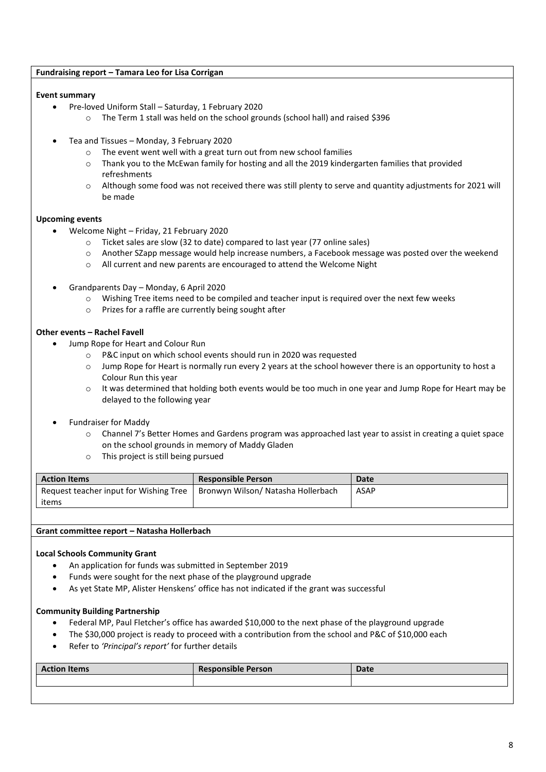## **Fundraising report – Tamara Leo for Lisa Corrigan**

## **Event summary**

- Pre-loved Uniform Stall Saturday, 1 February 2020
	- o The Term 1 stall was held on the school grounds (school hall) and raised \$396
- Tea and Tissues Monday, 3 February 2020
	- o The event went well with a great turn out from new school families
	- o Thank you to the McEwan family for hosting and all the 2019 kindergarten families that provided refreshments
	- o Although some food was not received there was still plenty to serve and quantity adjustments for 2021 will be made

## **Upcoming events**

- Welcome Night Friday, 21 February 2020
	- o Ticket sales are slow (32 to date) compared to last year (77 online sales)
	- o Another SZapp message would help increase numbers, a Facebook message was posted over the weekend
	- o All current and new parents are encouraged to attend the Welcome Night
- Grandparents Day Monday, 6 April 2020
	- o Wishing Tree items need to be compiled and teacher input is required over the next few weeks
	- o Prizes for a raffle are currently being sought after

## **Other events – Rachel Favell**

- Jump Rope for Heart and Colour Run
	- o P&C input on which school events should run in 2020 was requested
	- o Jump Rope for Heart is normally run every 2 years at the school however there is an opportunity to host a Colour Run this year
	- $\circ$  It was determined that holding both events would be too much in one year and Jump Rope for Heart may be delayed to the following year
- Fundraiser for Maddy
	- o Channel 7's Better Homes and Gardens program was approached last year to assist in creating a quiet space on the school grounds in memory of Maddy Gladen
	- o This project is still being pursued

| <b>Action Items</b>                    | <b>Responsible Person</b>          | Date        |
|----------------------------------------|------------------------------------|-------------|
| Request teacher input for Wishing Tree | Bronwyn Wilson/ Natasha Hollerbach | <b>ASAP</b> |
| items                                  |                                    |             |

## **Grant committee report – Natasha Hollerbach**

## **Local Schools Community Grant**

- An application for funds was submitted in September 2019
- Funds were sought for the next phase of the playground upgrade
- As yet State MP, Alister Henskens' office has not indicated if the grant was successful

## **Community Building Partnership**

- Federal MP, Paul Fletcher's office has awarded \$10,000 to the next phase of the playground upgrade
- The \$30,000 project is ready to proceed with a contribution from the school and P&C of \$10,000 each
- Refer to *'Principal's report'* for further details

| <b>Action Items</b> | <b>Responsible Person</b> | <b>Date</b> |
|---------------------|---------------------------|-------------|
|                     |                           |             |
|                     |                           |             |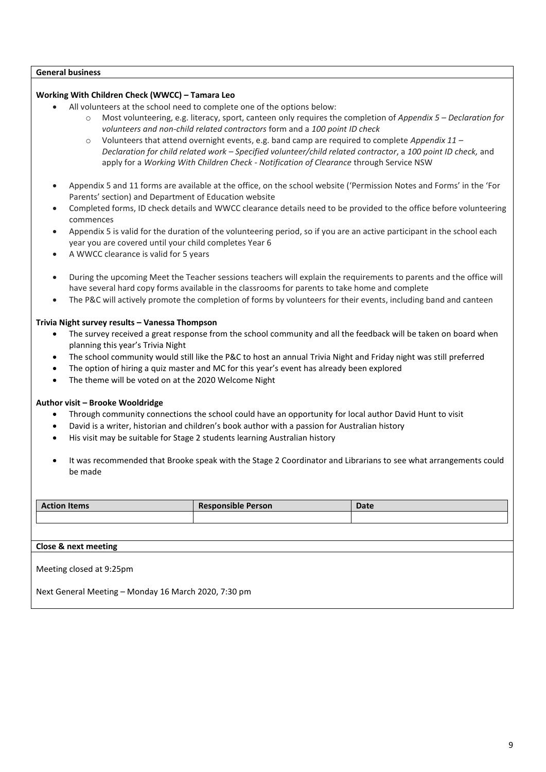#### **General business**

## **Working With Children Check (WWCC) – Tamara Leo**

- All volunteers at the school need to complete one of the options below:
	- o Most volunteering, e.g. literacy, sport, canteen only requires the completion of *Appendix 5 – Declaration for volunteers and non-child related contractors* form and a *100 point ID check*
	- o Volunteers that attend overnight events, e.g. band camp are required to complete *Appendix 11 – Declaration for child related work – Specified volunteer/child related contractor*, a *100 point ID check,* and apply for a *Working With Children Check - Notification of Clearance* through Service NSW
- Appendix 5 and 11 forms are available at the office, on the school website ('Permission Notes and Forms' in the 'For Parents' section) and Department of Education website
- Completed forms, ID check details and WWCC clearance details need to be provided to the office before volunteering commences
- Appendix 5 is valid for the duration of the volunteering period, so if you are an active participant in the school each year you are covered until your child completes Year 6
- A WWCC clearance is valid for 5 years
- During the upcoming Meet the Teacher sessions teachers will explain the requirements to parents and the office will have several hard copy forms available in the classrooms for parents to take home and complete
- The P&C will actively promote the completion of forms by volunteers for their events, including band and canteen

## **Trivia Night survey results – Vanessa Thompson**

- The survey received a great response from the school community and all the feedback will be taken on board when planning this year's Trivia Night
- The school community would still like the P&C to host an annual Trivia Night and Friday night was still preferred
- The option of hiring a quiz master and MC for this year's event has already been explored
- The theme will be voted on at the 2020 Welcome Night

## **Author visit – Brooke Wooldridge**

- Through community connections the school could have an opportunity for local author David Hunt to visit
- David is a writer, historian and children's book author with a passion for Australian history
- His visit may be suitable for Stage 2 students learning Australian history
- It was recommended that Brooke speak with the Stage 2 Coordinator and Librarians to see what arrangements could be made

| <b>Action Items</b>                                  | <b>Responsible Person</b> | <b>Date</b> |  |  |  |
|------------------------------------------------------|---------------------------|-------------|--|--|--|
|                                                      |                           |             |  |  |  |
|                                                      |                           |             |  |  |  |
| Close & next meeting                                 |                           |             |  |  |  |
| Meeting closed at 9:25pm                             |                           |             |  |  |  |
| Next General Meeting - Monday 16 March 2020, 7:30 pm |                           |             |  |  |  |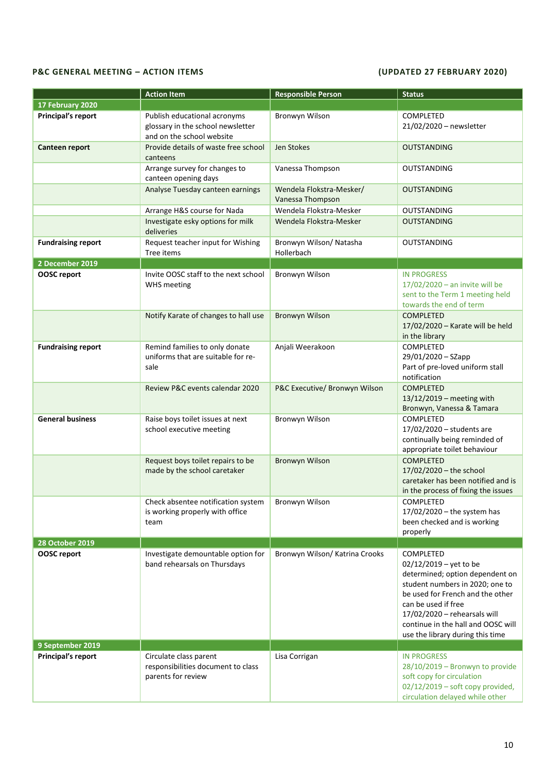## **P&C GENERAL MEETING – ACTION ITEMS (UPDATED 27 FEBRUARY 2020)**

|                           | <b>Action Item</b>                                                                             | <b>Responsible Person</b>                    | <b>Status</b>                                                                                                                                                                                                                                                                                  |
|---------------------------|------------------------------------------------------------------------------------------------|----------------------------------------------|------------------------------------------------------------------------------------------------------------------------------------------------------------------------------------------------------------------------------------------------------------------------------------------------|
| 17 February 2020          |                                                                                                |                                              |                                                                                                                                                                                                                                                                                                |
| Principal's report        | Publish educational acronyms<br>glossary in the school newsletter<br>and on the school website | Bronwyn Wilson                               | COMPLETED<br>21/02/2020 - newsletter                                                                                                                                                                                                                                                           |
| Canteen report            | Provide details of waste free school<br>canteens                                               | Jen Stokes                                   | <b>OUTSTANDING</b>                                                                                                                                                                                                                                                                             |
|                           | Arrange survey for changes to<br>canteen opening days                                          | Vanessa Thompson                             | <b>OUTSTANDING</b>                                                                                                                                                                                                                                                                             |
|                           | Analyse Tuesday canteen earnings                                                               | Wendela Flokstra-Mesker/<br>Vanessa Thompson | <b>OUTSTANDING</b>                                                                                                                                                                                                                                                                             |
|                           | Arrange H&S course for Nada                                                                    | Wendela Flokstra-Mesker                      | <b>OUTSTANDING</b>                                                                                                                                                                                                                                                                             |
|                           | Investigate esky options for milk<br>deliveries                                                | Wendela Flokstra-Mesker                      | <b>OUTSTANDING</b>                                                                                                                                                                                                                                                                             |
| <b>Fundraising report</b> | Request teacher input for Wishing<br>Tree items                                                | Bronwyn Wilson/ Natasha<br>Hollerbach        | <b>OUTSTANDING</b>                                                                                                                                                                                                                                                                             |
| 2 December 2019           |                                                                                                |                                              |                                                                                                                                                                                                                                                                                                |
| OOSC report               | Invite OOSC staff to the next school<br><b>WHS</b> meeting                                     | Bronwyn Wilson                               | <b>IN PROGRESS</b><br>$17/02/2020$ - an invite will be<br>sent to the Term 1 meeting held<br>towards the end of term                                                                                                                                                                           |
|                           | Notify Karate of changes to hall use                                                           | <b>Bronwyn Wilson</b>                        | <b>COMPLETED</b><br>17/02/2020 - Karate will be held<br>in the library                                                                                                                                                                                                                         |
| <b>Fundraising report</b> | Remind families to only donate<br>uniforms that are suitable for re-<br>sale                   | Anjali Weerakoon                             | COMPLETED<br>29/01/2020 - SZapp<br>Part of pre-loved uniform stall<br>notification                                                                                                                                                                                                             |
|                           | Review P&C events calendar 2020                                                                | P&C Executive/ Bronwyn Wilson                | <b>COMPLETED</b><br>13/12/2019 - meeting with<br>Bronwyn, Vanessa & Tamara                                                                                                                                                                                                                     |
| <b>General business</b>   | Raise boys toilet issues at next<br>school executive meeting                                   | Bronwyn Wilson                               | <b>COMPLETED</b><br>17/02/2020 - students are<br>continually being reminded of<br>appropriate toilet behaviour                                                                                                                                                                                 |
|                           | Request boys toilet repairs to be<br>made by the school caretaker                              | <b>Bronwyn Wilson</b>                        | <b>COMPLETED</b><br>17/02/2020 - the school<br>caretaker has been notified and is<br>in the process of fixing the issues                                                                                                                                                                       |
|                           | Check absentee notification system<br>is working properly with office<br>team                  | Bronwyn Wilson                               | <b>COMPLETED</b><br>17/02/2020 - the system has<br>been checked and is working<br>properly                                                                                                                                                                                                     |
| <b>28 October 2019</b>    |                                                                                                |                                              |                                                                                                                                                                                                                                                                                                |
| <b>OOSC</b> report        | Investigate demountable option for<br>band rehearsals on Thursdays                             | Bronwyn Wilson/Katrina Crooks                | <b>COMPLETED</b><br>$02/12/2019 - \text{yet to be}$<br>determined; option dependent on<br>student numbers in 2020; one to<br>be used for French and the other<br>can be used if free<br>17/02/2020 - rehearsals will<br>continue in the hall and OOSC will<br>use the library during this time |
| 9 September 2019          |                                                                                                |                                              |                                                                                                                                                                                                                                                                                                |
| Principal's report        | Circulate class parent<br>responsibilities document to class<br>parents for review             | Lisa Corrigan                                | <b>IN PROGRESS</b><br>28/10/2019 - Bronwyn to provide<br>soft copy for circulation<br>$02/12/2019$ – soft copy provided,<br>circulation delayed while other                                                                                                                                    |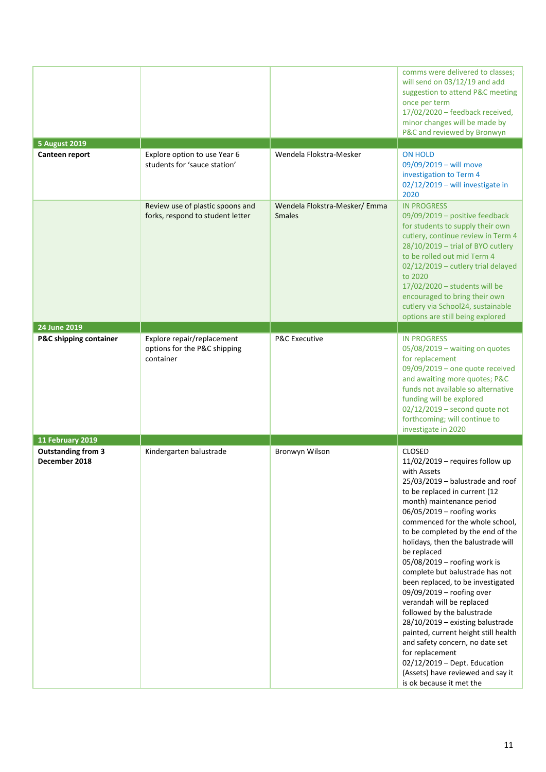| <b>5 August 2019</b>                                           |                                                                         |                                               | comms were delivered to classes;<br>will send on 03/12/19 and add<br>suggestion to attend P&C meeting<br>once per term<br>17/02/2020 - feedback received,<br>minor changes will be made by<br>P&C and reviewed by Bronwyn                                                                                                                                                                                                                                                                                                                                                                                                                                                                                                                                         |
|----------------------------------------------------------------|-------------------------------------------------------------------------|-----------------------------------------------|-------------------------------------------------------------------------------------------------------------------------------------------------------------------------------------------------------------------------------------------------------------------------------------------------------------------------------------------------------------------------------------------------------------------------------------------------------------------------------------------------------------------------------------------------------------------------------------------------------------------------------------------------------------------------------------------------------------------------------------------------------------------|
| Canteen report                                                 | Explore option to use Year 6<br>students for 'sauce station'            | Wendela Flokstra-Mesker                       | <b>ON HOLD</b><br>09/09/2019 - will move<br>investigation to Term 4<br>02/12/2019 - will investigate in<br>2020                                                                                                                                                                                                                                                                                                                                                                                                                                                                                                                                                                                                                                                   |
|                                                                | Review use of plastic spoons and<br>forks, respond to student letter    | Wendela Flokstra-Mesker/Emma<br><b>Smales</b> | <b>IN PROGRESS</b><br>09/09/2019 - positive feedback<br>for students to supply their own<br>cutlery, continue review in Term 4<br>28/10/2019 - trial of BYO cutlery<br>to be rolled out mid Term 4<br>02/12/2019 - cutlery trial delayed<br>to 2020<br>17/02/2020 - students will be<br>encouraged to bring their own<br>cutlery via School24, sustainable<br>options are still being explored                                                                                                                                                                                                                                                                                                                                                                    |
| 24 June 2019                                                   |                                                                         |                                               |                                                                                                                                                                                                                                                                                                                                                                                                                                                                                                                                                                                                                                                                                                                                                                   |
| P&C shipping container                                         | Explore repair/replacement<br>options for the P&C shipping<br>container | <b>P&amp;C Executive</b>                      | <b>IN PROGRESS</b><br>05/08/2019 - waiting on quotes<br>for replacement<br>09/09/2019 - one quote received<br>and awaiting more quotes; P&C<br>funds not available so alternative<br>funding will be explored<br>$02/12/2019$ – second quote not<br>forthcoming; will continue to<br>investigate in 2020                                                                                                                                                                                                                                                                                                                                                                                                                                                          |
| 11 February 2019<br><b>Outstanding from 3</b><br>December 2018 | Kindergarten balustrade                                                 | Bronwyn Wilson                                | <b>CLOSED</b><br>$11/02/2019$ – requires follow up<br>with Assets<br>25/03/2019 - balustrade and roof<br>to be replaced in current (12<br>month) maintenance period<br>06/05/2019 - roofing works<br>commenced for the whole school,<br>to be completed by the end of the<br>holidays, then the balustrade will<br>be replaced<br>05/08/2019 - roofing work is<br>complete but balustrade has not<br>been replaced, to be investigated<br>09/09/2019 - roofing over<br>verandah will be replaced<br>followed by the balustrade<br>28/10/2019 - existing balustrade<br>painted, current height still health<br>and safety concern, no date set<br>for replacement<br>02/12/2019 - Dept. Education<br>(Assets) have reviewed and say it<br>is ok because it met the |